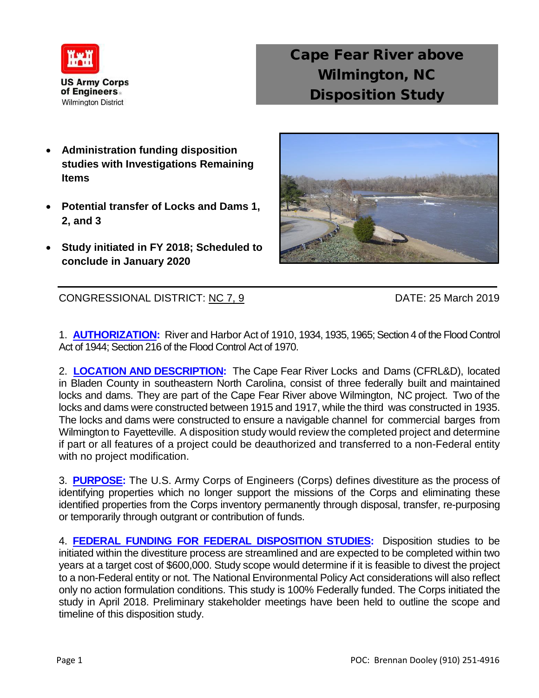

Cape Fear River above Wilmington, NC Disposition Study

- **Administration funding disposition studies with Investigations Remaining Items**
- **Potential transfer of Locks and Dams 1, 2, and 3**
- **Study initiated in FY 2018; Scheduled to conclude in January 2020**



CONGRESSIONAL DISTRICT: NC 7, 9 DATE: 25 March 2019

1. **AUTHORIZATION:** River and Harbor Act of 1910, 1934, 1935, 1965; Section 4 of the Flood Control Act of 1944; Section 216 of the Flood Control Act of 1970.

2. **LOCATION AND DESCRIPTION:** The Cape Fear River Locks and Dams (CFRL&D), located in Bladen County in southeastern North Carolina, consist of three federally built and maintained locks and dams. They are part of the Cape Fear River above Wilmington, NC project. Two of the locks and dams were constructed between 1915 and 1917, while the third was constructed in 1935. The locks and dams were constructed to ensure a navigable channel for commercial barges from Wilmington to Fayetteville. A disposition study would review the completed project and determine if part or all features of a project could be deauthorized and transferred to a non-Federal entity with no project modification.

3. **PURPOSE:** The U.S. Army Corps of Engineers (Corps) defines divestiture as the process of identifying properties which no longer support the missions of the Corps and eliminating these identified properties from the Corps inventory permanently through disposal, transfer, re-purposing or temporarily through outgrant or contribution of funds.

4. **FEDERAL FUNDING FOR FEDERAL DISPOSITION STUDIES:** Disposition studies to be initiated within the divestiture process are streamlined and are expected to be completed within two years at a target cost of \$600,000. Study scope would determine if it is feasible to divest the project to a non-Federal entity or not. The National Environmental Policy Act considerations will also reflect only no action formulation conditions. This study is 100% Federally funded. The Corps initiated the study in April 2018. Preliminary stakeholder meetings have been held to outline the scope and timeline of this disposition study.